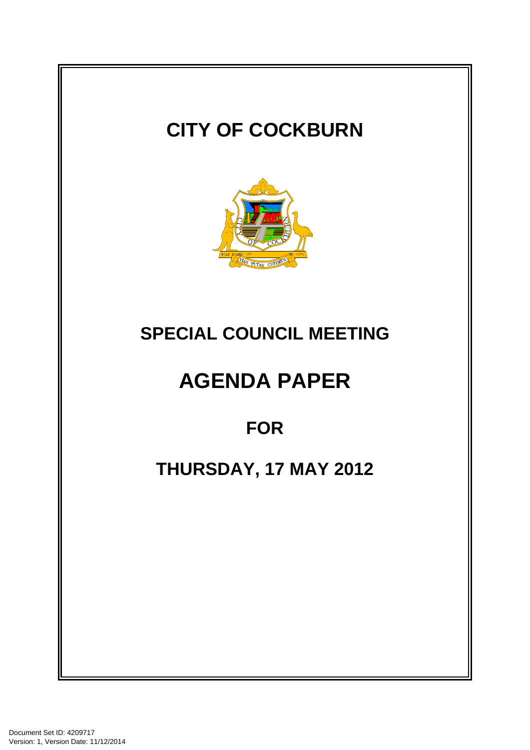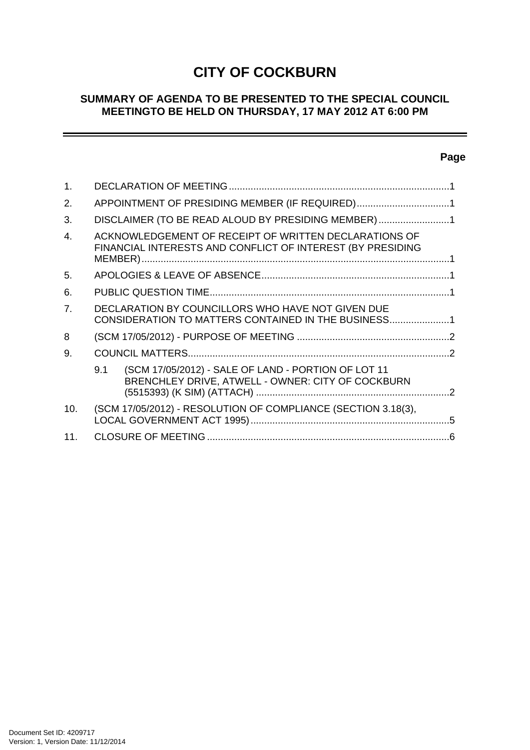# **CITY OF COCKBURN**

## **SUMMARY OF AGENDA TO BE PRESENTED TO THE SPECIAL COUNCIL MEETINGTO BE HELD ON THURSDAY, 17 MAY 2012 AT 6:00 PM**

## **Page**

÷

| 1.             |                                                                                                                     |  |
|----------------|---------------------------------------------------------------------------------------------------------------------|--|
| 2.             | APPOINTMENT OF PRESIDING MEMBER (IF REQUIRED)1                                                                      |  |
| 3.             | DISCLAIMER (TO BE READ ALOUD BY PRESIDING MEMBER)1                                                                  |  |
| $\mathbf{A}$   | ACKNOWLEDGEMENT OF RECEIPT OF WRITTEN DECLARATIONS OF<br>FINANCIAL INTERESTS AND CONFLICT OF INTEREST (BY PRESIDING |  |
| 5.             |                                                                                                                     |  |
| 6.             |                                                                                                                     |  |
| 7 <sub>1</sub> | DECLARATION BY COUNCILLORS WHO HAVE NOT GIVEN DUE<br>CONSIDERATION TO MATTERS CONTAINED IN THE BUSINESS1            |  |
| 8              |                                                                                                                     |  |
| 9.             |                                                                                                                     |  |
|                | (SCM 17/05/2012) - SALE OF LAND - PORTION OF LOT 11<br>9.1<br>BRENCHLEY DRIVE, ATWELL - OWNER: CITY OF COCKBURN     |  |
| 10.            | (SCM 17/05/2012) - RESOLUTION OF COMPLIANCE (SECTION 3.18(3),                                                       |  |
| 11.            |                                                                                                                     |  |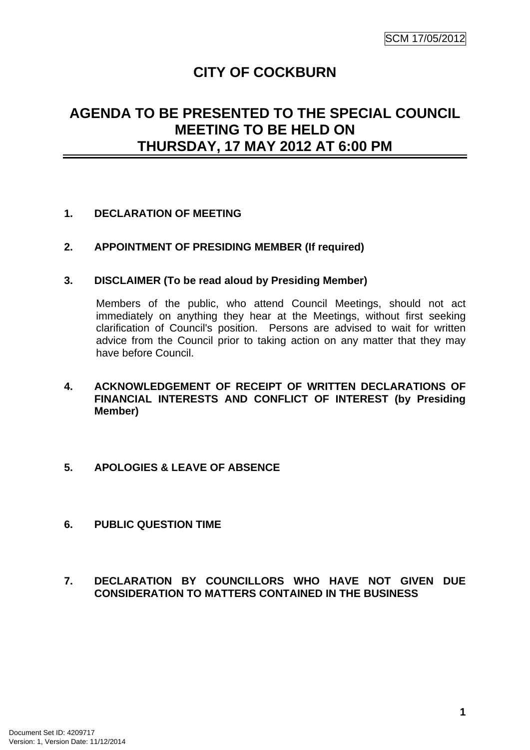# **CITY OF COCKBURN**

## **AGENDA TO BE PRESENTED TO THE SPECIAL COUNCIL MEETING TO BE HELD ON THURSDAY, 17 MAY 2012 AT 6:00 PM**

## **1. DECLARATION OF MEETING**

## **2. APPOINTMENT OF PRESIDING MEMBER (If required)**

#### **3. DISCLAIMER (To be read aloud by Presiding Member)**

Members of the public, who attend Council Meetings, should not act immediately on anything they hear at the Meetings, without first seeking clarification of Council's position. Persons are advised to wait for written advice from the Council prior to taking action on any matter that they may have before Council.

- **4. ACKNOWLEDGEMENT OF RECEIPT OF WRITTEN DECLARATIONS OF FINANCIAL INTERESTS AND CONFLICT OF INTEREST (by Presiding Member)**
- **5. APOLOGIES & LEAVE OF ABSENCE**
- **6. PUBLIC QUESTION TIME**
- **7. DECLARATION BY COUNCILLORS WHO HAVE NOT GIVEN DUE CONSIDERATION TO MATTERS CONTAINED IN THE BUSINESS**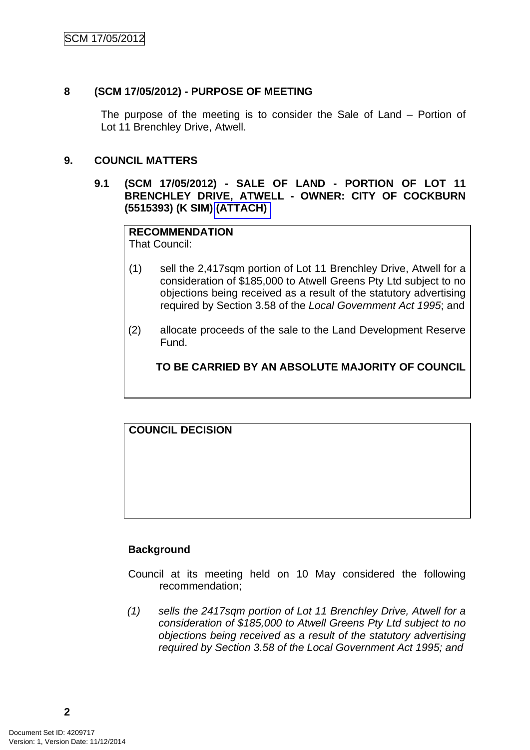### **8 (SCM 17/05/2012) - PURPOSE OF MEETING**

The purpose of the meeting is to consider the Sale of Land – Portion of Lot 11 Brenchley Drive, Atwell.

#### **9. COUNCIL MATTERS**

#### **9.1 (SCM 17/05/2012) - SALE OF LAND - PORTION OF LOT 11 BRENCHLEY DRIVE, ATWELL - OWNER: CITY OF COCKBURN (5515393) (K SIM) (ATTACH)**

## **RECOMMENDATION**

That Council:

- (1) sell the 2,417sqm portion of Lot 11 Brenchley Drive, Atwell for a consideration of \$185,000 to Atwell Greens Pty Ltd subject to no objections being received as a result of the statutory advertising required by Section 3.58 of the *Local Government Act 1995*; and
- (2) allocate proceeds of the sale to the Land Development Reserve Fund.

## **TO BE CARRIED BY AN ABSOLUTE MAJORITY OF COUNCIL**

## **COUNCIL DECISION**

## **Background**

- Council at its meeting held on 10 May considered the following recommendation;
- *(1) sells the 2417sqm portion of Lot 11 Brenchley Drive, Atwell for a consideration of \$185,000 to Atwell Greens Pty Ltd subject to no objections being received as a result of the statutory advertising required by Section 3.58 of the Local Government Act 1995; and*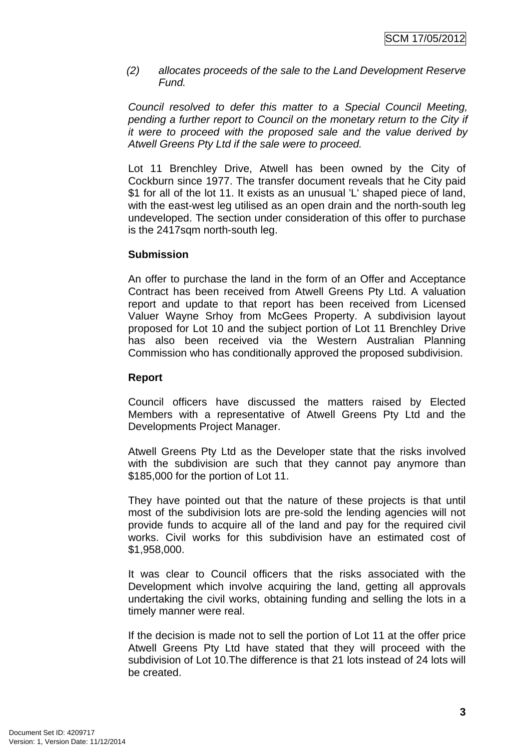*(2) allocates proceeds of the sale to the Land Development Reserve Fund.* 

*Council resolved to defer this matter to a Special Council Meeting, pending a further report to Council on the monetary return to the City if it were to proceed with the proposed sale and the value derived by Atwell Greens Pty Ltd if the sale were to proceed.* 

Lot 11 Brenchley Drive, Atwell has been owned by the City of Cockburn since 1977. The transfer document reveals that he City paid \$1 for all of the lot 11. It exists as an unusual 'L' shaped piece of land, with the east-west leg utilised as an open drain and the north-south leg undeveloped. The section under consideration of this offer to purchase is the 2417sqm north-south leg.

#### **Submission**

An offer to purchase the land in the form of an Offer and Acceptance Contract has been received from Atwell Greens Pty Ltd. A valuation report and update to that report has been received from Licensed Valuer Wayne Srhoy from McGees Property. A subdivision layout proposed for Lot 10 and the subject portion of Lot 11 Brenchley Drive has also been received via the Western Australian Planning Commission who has conditionally approved the proposed subdivision.

#### **Report**

Council officers have discussed the matters raised by Elected Members with a representative of Atwell Greens Pty Ltd and the Developments Project Manager.

Atwell Greens Pty Ltd as the Developer state that the risks involved with the subdivision are such that they cannot pay anymore than \$185,000 for the portion of Lot 11.

They have pointed out that the nature of these projects is that until most of the subdivision lots are pre-sold the lending agencies will not provide funds to acquire all of the land and pay for the required civil works. Civil works for this subdivision have an estimated cost of \$1,958,000.

It was clear to Council officers that the risks associated with the Development which involve acquiring the land, getting all approvals undertaking the civil works, obtaining funding and selling the lots in a timely manner were real.

If the decision is made not to sell the portion of Lot 11 at the offer price Atwell Greens Pty Ltd have stated that they will proceed with the subdivision of Lot 10.The difference is that 21 lots instead of 24 lots will be created.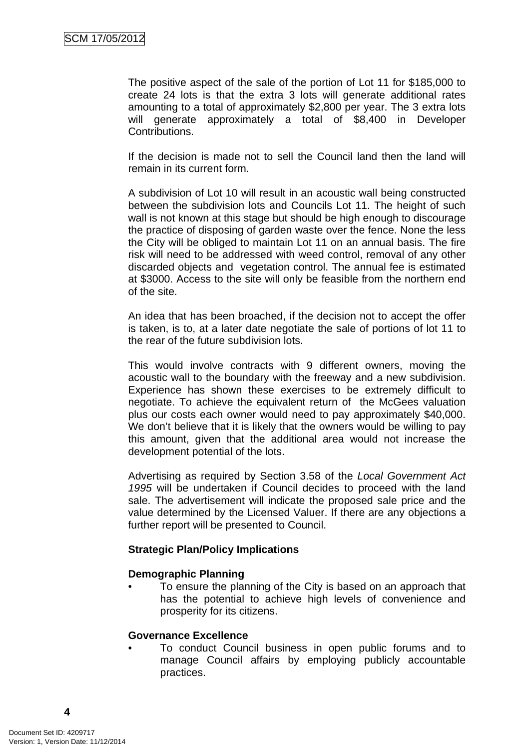The positive aspect of the sale of the portion of Lot 11 for \$185,000 to create 24 lots is that the extra 3 lots will generate additional rates amounting to a total of approximately \$2,800 per year. The 3 extra lots will generate approximately a total of \$8,400 in Developer Contributions.

If the decision is made not to sell the Council land then the land will remain in its current form.

A subdivision of Lot 10 will result in an acoustic wall being constructed between the subdivision lots and Councils Lot 11. The height of such wall is not known at this stage but should be high enough to discourage the practice of disposing of garden waste over the fence. None the less the City will be obliged to maintain Lot 11 on an annual basis. The fire risk will need to be addressed with weed control, removal of any other discarded objects and vegetation control. The annual fee is estimated at \$3000. Access to the site will only be feasible from the northern end of the site.

An idea that has been broached, if the decision not to accept the offer is taken, is to, at a later date negotiate the sale of portions of lot 11 to the rear of the future subdivision lots.

This would involve contracts with 9 different owners, moving the acoustic wall to the boundary with the freeway and a new subdivision. Experience has shown these exercises to be extremely difficult to negotiate. To achieve the equivalent return of the McGees valuation plus our costs each owner would need to pay approximately \$40,000. We don't believe that it is likely that the owners would be willing to pay this amount, given that the additional area would not increase the development potential of the lots.

Advertising as required by Section 3.58 of the *Local Government Act 1995* will be undertaken if Council decides to proceed with the land sale. The advertisement will indicate the proposed sale price and the value determined by the Licensed Valuer. If there are any objections a further report will be presented to Council.

#### **Strategic Plan/Policy Implications**

#### **Demographic Planning**

• To ensure the planning of the City is based on an approach that has the potential to achieve high levels of convenience and prosperity for its citizens.

#### **Governance Excellence**

• To conduct Council business in open public forums and to manage Council affairs by employing publicly accountable practices.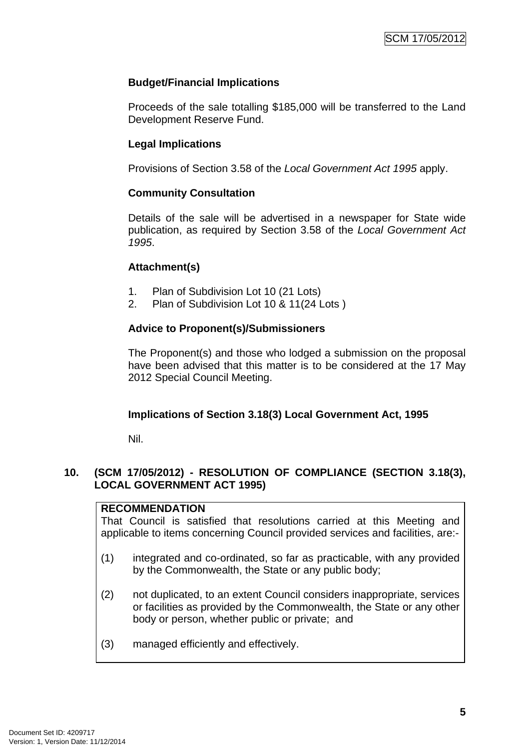## **Budget/Financial Implications**

Proceeds of the sale totalling \$185,000 will be transferred to the Land Development Reserve Fund.

## **Legal Implications**

Provisions of Section 3.58 of the *Local Government Act 1995* apply.

## **Community Consultation**

Details of the sale will be advertised in a newspaper for State wide publication, as required by Section 3.58 of the *Local Government Act 1995*.

#### **Attachment(s)**

- 1. Plan of Subdivision Lot 10 (21 Lots)
- 2. Plan of Subdivision Lot 10 & 11(24 Lots )

## **Advice to Proponent(s)/Submissioners**

The Proponent(s) and those who lodged a submission on the proposal have been advised that this matter is to be considered at the 17 May 2012 Special Council Meeting.

#### **Implications of Section 3.18(3) Local Government Act, 1995**

Nil.

## **10. (SCM 17/05/2012) - RESOLUTION OF COMPLIANCE (SECTION 3.18(3), LOCAL GOVERNMENT ACT 1995)**

#### **RECOMMENDATION**

That Council is satisfied that resolutions carried at this Meeting and applicable to items concerning Council provided services and facilities, are:-

- (1) integrated and co-ordinated, so far as practicable, with any provided by the Commonwealth, the State or any public body;
- (2) not duplicated, to an extent Council considers inappropriate, services or facilities as provided by the Commonwealth, the State or any other body or person, whether public or private; and
- (3) managed efficiently and effectively.